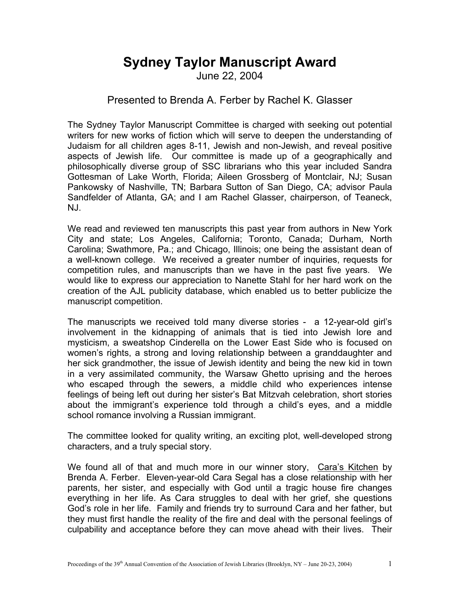## **Sydney Taylor Manuscript Award**

June 22, 2004

## Presented to Brenda A. Ferber by Rachel K. Glasser

The Sydney Taylor Manuscript Committee is charged with seeking out potential writers for new works of fiction which will serve to deepen the understanding of Judaism for all children ages 8-11, Jewish and non-Jewish, and reveal positive aspects of Jewish life. Our committee is made up of a geographically and philosophically diverse group of SSC librarians who this year included Sandra Gottesman of Lake Worth, Florida; Aileen Grossberg of Montclair, NJ; Susan Pankowsky of Nashville, TN; Barbara Sutton of San Diego, CA; advisor Paula Sandfelder of Atlanta, GA; and I am Rachel Glasser, chairperson, of Teaneck, NJ.

We read and reviewed ten manuscripts this past year from authors in New York City and state; Los Angeles, California; Toronto, Canada; Durham, North Carolina; Swathmore, Pa.; and Chicago, Illinois; one being the assistant dean of a well-known college. We received a greater number of inquiries, requests for competition rules, and manuscripts than we have in the past five years. We would like to express our appreciation to Nanette Stahl for her hard work on the creation of the AJL publicity database, which enabled us to better publicize the manuscript competition.

The manuscripts we received told many diverse stories - a 12-year-old girl's involvement in the kidnapping of animals that is tied into Jewish lore and mysticism, a sweatshop Cinderella on the Lower East Side who is focused on women's rights, a strong and loving relationship between a granddaughter and her sick grandmother, the issue of Jewish identity and being the new kid in town in a very assimilated community, the Warsaw Ghetto uprising and the heroes who escaped through the sewers, a middle child who experiences intense feelings of being left out during her sister's Bat Mitzvah celebration, short stories about the immigrant's experience told through a child's eyes, and a middle school romance involving a Russian immigrant.

The committee looked for quality writing, an exciting plot, well-developed strong characters, and a truly special story.

We found all of that and much more in our winner story, Cara's Kitchen by Brenda A. Ferber. Eleven-year-old Cara Segal has a close relationship with her parents, her sister, and especially with God until a tragic house fire changes everything in her life. As Cara struggles to deal with her grief, she questions God's role in her life. Family and friends try to surround Cara and her father, but they must first handle the reality of the fire and deal with the personal feelings of culpability and acceptance before they can move ahead with their lives. Their